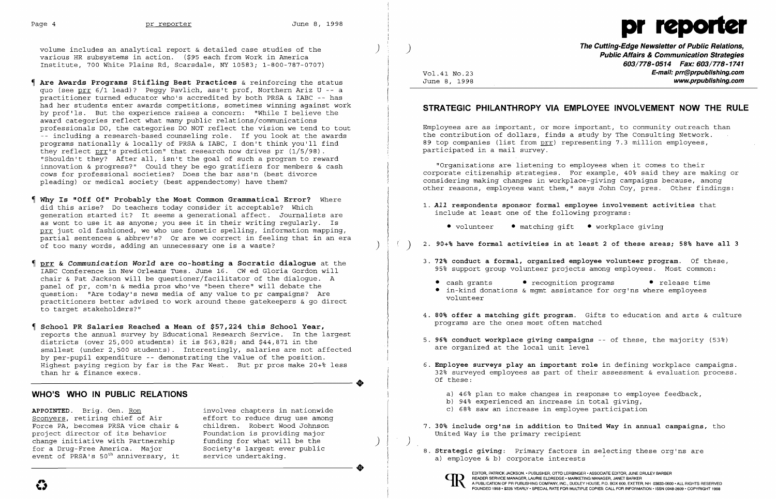

volume includes an analytical report & detailed case studies of the ) various HR subsystems in action. (\$95 each from Work in America Institute, 700 White Plains Rd, Scarsdale, NY 10583: 1-800-787-0707)

- $\P$  Are Awards Programs Stifling Best Practices & reinforcing the status quo (see prr 6/1 lead)? Peggy Pavlich, ass't prof, Northern Ariz U -- <sup>a</sup> practitioner turned educator who's accredited by both PRSA & IABC -- has had her students enter awards competitions, sometimes winning against work by prof'ls. But the experience raises a concern: "While I believe the award categories reflect what many public relations/communications professionals DO, the categories DO NOT reflect the vision we tend to tout -- including a research-based counseling role. If you look at the awards programs nationally & locally of PRSA & IABC, I don't think you'll find they reflect prr's prediction" that research now drives pr (1/5/98). "Shouldn't they? After all, isn't the goal of such a program to reward innovation & progress?" Could they be ego gratifiers for members & cash cows for professional societies? Does the bar ass'n (best divorce pleading) or medical society (best appendectomy) have them?
- Why Is "Off Of" Probably the Most Common Grammatical Error? Where did this arise? Do teachers today consider it acceptable? Which generation started it? It seems a generational affect. Journalists are as wont to use it as anyone: you see it in their writing regularly. Is prr just old fashioned, we who use fonetic spelling, information mapping, partial sentences & abbrev's? Or are we correct in feeling that in an era of too many words, adding an unnecessary one is a waste?
- prr & *Communication World* are co-hosting a Socratic dialogue at the IABC Conference in New Orleans Tues. June 16. CW ed Gloria Gordon will chair & Pat Jackson will be questioner/facilitator of the dialogue. A panel of pr, com'n & media pros who've "been there" will debate the question: "Are today's news media of any value to pr campaigns? Are practitioners better advised to work around these gatekeepers & go direct to target stakeholders?"
- School PR Salaries Reached a Mean of \$57,224 this School Year, reports the annual survey by Educational Research Service. In the largest districts (over 25,000 students) it is \$63,828: and \$44,871 in the smallest (under 2,500 students). Interestingly, salaries are not affected by per-pupil expenditure -- demonstrating the value of the position. Highest paying region by far is the Far West. But pr pros make  $20+8$  less than hr & finance execs.

6. Employee surveys play an important role in defining workplace campaigns. 32~ surveyed employees as part of their assessment & evaluation process.

# WHO'S WHO IN PUBLIC RELATIONS

APPOINTED. Brig. Gen. <u>Ron</u> involves chapters in nationwide<br>Sconyers, retiring chief of Air and effort to reduce drug use among Sconyers, retiring chief of Air and effort to reduce drug use among<br>Force PA, becomes PRSA vice chair & children. Robert Wood Johnson Force PA, becomes PRSA vice chair & project director of its behavior Foundation is providing major<br>change initiative with Partnership funding for what will be the change initiative with Partnership funding for what will be the for a Drug-Free America. Major Society's largest ever public event of PRSA's  $50^{\text{th}}$  anniversary, it service undertaking. event of PRSA's  $50<sup>th</sup>$  anniversary, it

**•** 

•

The Cutting-Edge Newsletter of Public Relations, ) Public Affairs & Communication Strategies 603/778-0514 Fax: 603/778-1741 Vol.41 No.23 **E-mail: prr@prpublishing.com** June 8, 1998 www.prpublishing.com

# STRATEGIC PHILANTHROPY VIA EMPLOYEE INVOLVEMENT NOW THE RULE

Employees are as important, or more important, to community outreach than the contribution of dollars, finds a study by The Consulting Network. 89 top companies (list from prr) representing 7.3 million employees, participated in a mail survey.

"Organizations are listening to employees when it comes to their corporate citizenship strategies. For example, 40% said they are making or considering making changes in workplace-giving campaigns because, among other reasons, employees want them," says John *Coy,* pres. Other findings:

4. 80% offer a matching gift program. Gifts to education and arts & culture

- *1. All* respondents sponsor formal employee involvement activities that include at least one of the following programs:
	- volunteer matching gift workplace giving
- ) 2. 90+% have formal activities in at least 2 of these areas; 58% have all 3
- 3. 72% conduct a formal, organized employee volunteer program. Of these, 95% support group volunteer projects among employees. Most common:
	- cash grants recognition programs release time
	- • in-kind donations & mgmt assistance for org'ns where employees volunteer
- programs are the ones most often matched
- 5. 96% conduct workplace giving campaigns -- of these, the majority (53%) are organized at the local unit level
- Of these:
	-
	-
	-
- United Way is the primary recipient
- 8. Strategic giving: Primary factors in selecting these org'ns are a} employee & b} corporate interests



a} 46% plan to make changes in response to employee feedback, b} 94% experienced an increase in total giving, c} 68% saw an increase in employee participation

7. 30% include org'ns in addition to United Way in annual campaigns, tho

)

 $\sim 10^{-11}$ 

EDITOR, PATRICK JACKSON .• PUBLISHER, OTTO LERBINGER • ASSOCIATE EDITOR, JUNE DRULEY BARBER READER SERVICE MANAGER, LAURIE ELDREDGE· MARKETING MANAGER, JANET BARKER